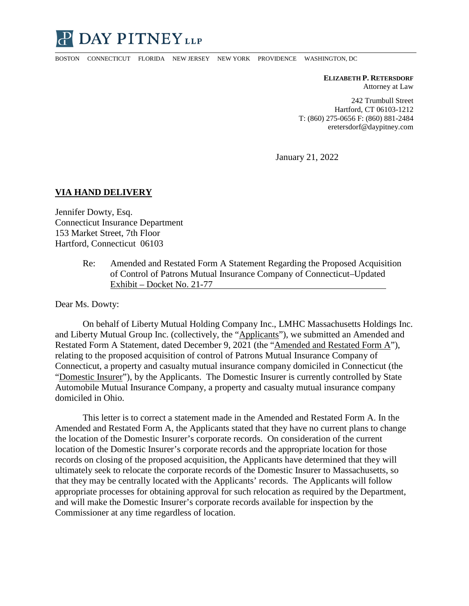

BOSTON CONNECTICUT FLORIDA NEW JERSEY NEW YORK PROVIDENCE WASHINGTON, DC

**ELIZABETH P. RETERSDORF** Attorney at Law

242 Trumbull Street Hartford, CT 06103-1212 T: (860) 275-0656 F: (860) 881-2484 eretersdorf@daypitney.com

January 21, 2022

## **VIA HAND DELIVERY**

Jennifer Dowty, Esq. Connecticut Insurance Department 153 Market Street, 7th Floor Hartford, Connecticut 06103

> Re: Amended and Restated Form A Statement Regarding the Proposed Acquisition of Control of Patrons Mutual Insurance Company of Connecticut–Updated Exhibit – Docket No. 21-77

Dear Ms. Dowty:

On behalf of Liberty Mutual Holding Company Inc., LMHC Massachusetts Holdings Inc. and Liberty Mutual Group Inc. (collectively, the "Applicants"), we submitted an Amended and Restated Form A Statement, dated December 9, 2021 (the "Amended and Restated Form A"), relating to the proposed acquisition of control of Patrons Mutual Insurance Company of Connecticut, a property and casualty mutual insurance company domiciled in Connecticut (the "Domestic Insurer"), by the Applicants. The Domestic Insurer is currently controlled by State Automobile Mutual Insurance Company, a property and casualty mutual insurance company domiciled in Ohio.

This letter is to correct a statement made in the Amended and Restated Form A. In the Amended and Restated Form A, the Applicants stated that they have no current plans to change the location of the Domestic Insurer's corporate records. On consideration of the current location of the Domestic Insurer's corporate records and the appropriate location for those records on closing of the proposed acquisition, the Applicants have determined that they will ultimately seek to relocate the corporate records of the Domestic Insurer to Massachusetts, so that they may be centrally located with the Applicants' records. The Applicants will follow appropriate processes for obtaining approval for such relocation as required by the Department, and will make the Domestic Insurer's corporate records available for inspection by the Commissioner at any time regardless of location.